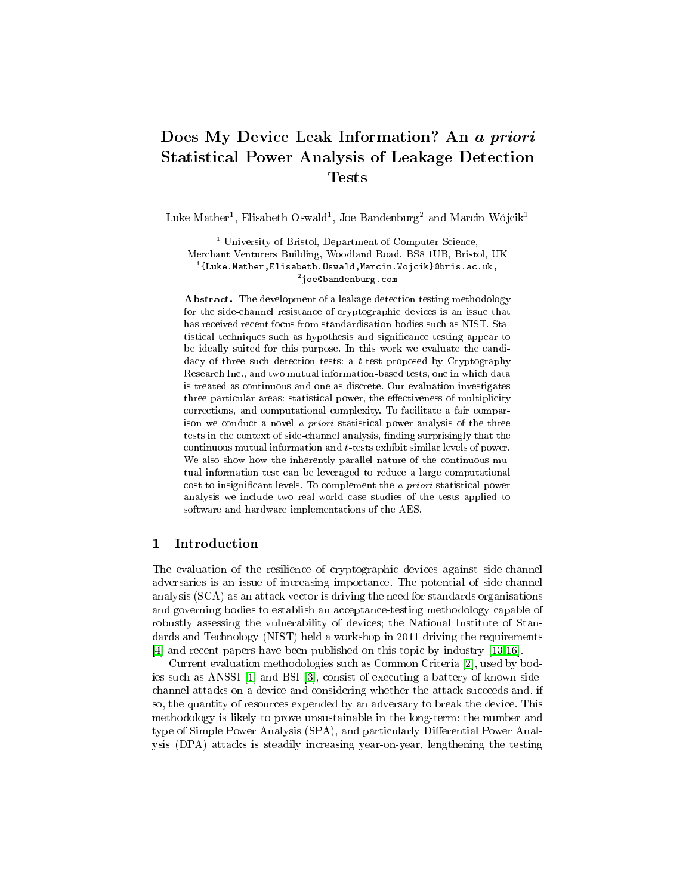# Does My Device Leak Information? An a priori Statistical Power Analysis of Leakage Detection Tests

Luke Mather<sup>1</sup>, Elisabeth Oswald<sup>1</sup>, Joe Bandenburg<sup>2</sup> and Marcin Wójcik<sup>1</sup>

<sup>1</sup> University of Bristol, Department of Computer Science, Merchant Venturers Building, Woodland Road, BS8 1UB, Bristol, UK 1 {Luke.Mather,Elisabeth.Oswald,Marcin.Wojcik}@bris.ac.uk, <sup>2</sup>joe@bandenburg.com

Abstract. The development of a leakage detection testing methodology for the side-channel resistance of cryptographic devices is an issue that has received recent focus from standardisation bodies such as NIST. Statistical techniques such as hypothesis and signicance testing appear to be ideally suited for this purpose. In this work we evaluate the candidacy of three such detection tests: a t-test proposed by Cryptography Research Inc., and two mutual information-based tests, one in which data is treated as continuous and one as discrete. Our evaluation investigates three particular areas: statistical power, the effectiveness of multiplicity corrections, and computational complexity. To facilitate a fair comparison we conduct a novel a priori statistical power analysis of the three tests in the context of side-channel analysis, finding surprisingly that the continuous mutual information and t-tests exhibit similar levels of power. We also show how the inherently parallel nature of the continuous mutual information test can be leveraged to reduce a large computational cost to insignificant levels. To complement the a priori statistical power analysis we include two real-world case studies of the tests applied to software and hardware implementations of the AES.

#### 1 Introduction

The evaluation of the resilience of cryptographic devices against side-channel adversaries is an issue of increasing importance. The potential of side-channel analysis (SCA) as an attack vector is driving the need for standards organisations and governing bodies to establish an acceptance-testing methodology capable of robustly assessing the vulnerability of devices; the National Institute of Standards and Technology (NIST) held a workshop in 2011 driving the requirements [\[4\]](#page-18-0) and recent papers have been published on this topic by industry [\[13](#page-19-0)[,16\]](#page-19-1).

Current evaluation methodologies such as Common Criteria [\[2\]](#page-18-1), used by bodies such as ANSSI [\[1\]](#page-18-2) and BSI [\[3\]](#page-18-3), consist of executing a battery of known sidechannel attacks on a device and considering whether the attack succeeds and, if so, the quantity of resources expended by an adversary to break the device. This methodology is likely to prove unsustainable in the long-term: the number and type of Simple Power Analysis (SPA), and particularly Differential Power Analysis (DPA) attacks is steadily increasing year-on-year, lengthening the testing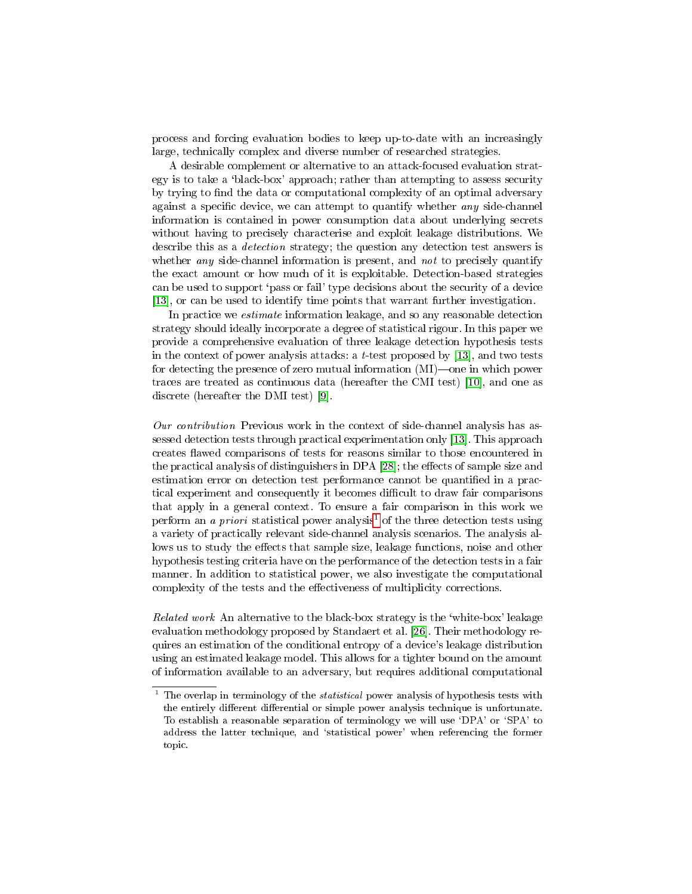process and forcing evaluation bodies to keep up-to-date with an increasingly large, technically complex and diverse number of researched strategies.

A desirable complement or alternative to an attack-focused evaluation strategy is to take a 'black-box' approach; rather than attempting to assess security by trying to find the data or computational complexity of an optimal adversary against a specific device, we can attempt to quantify whether  $any$  side-channel information is contained in power consumption data about underlying secrets without having to precisely characterise and exploit leakage distributions. We describe this as a detection strategy; the question any detection test answers is whether *any* side-channel information is present, and *not* to precisely quantify the exact amount or how much of it is exploitable. Detection-based strategies can be used to support `pass or fail' type decisions about the security of a device [\[13\]](#page-19-0), or can be used to identify time points that warrant further investigation.

In practice we estimate information leakage, and so any reasonable detection strategy should ideally incorporate a degree of statistical rigour. In this paper we provide a comprehensive evaluation of three leakage detection hypothesis tests in the context of power analysis attacks: a  $t$ -test proposed by [\[13\]](#page-19-0), and two tests for detecting the presence of zero mutual information  $(MI)$ —one in which power traces are treated as continuous data (hereafter the CMI test) [\[10\]](#page-18-4), and one as discrete (hereafter the DMI test) [\[9\]](#page-18-5).

Our contribution Previous work in the context of side-channel analysis has assessed detection tests through practical experimentation only [\[13\]](#page-19-0). This approach creates flawed comparisons of tests for reasons similar to those encountered in the practical analysis of distinguishers in DPA [\[28\]](#page-19-2); the effects of sample size and estimation error on detection test performance cannot be quantified in a practical experiment and consequently it becomes difficult to draw fair comparisons that apply in a general context. To ensure a fair comparison in this work we perform an a priori statistical power analysis<sup>[1](#page-1-0)</sup> of the three detection tests using a variety of practically relevant side-channel analysis scenarios. The analysis allows us to study the effects that sample size, leakage functions, noise and other hypothesis testing criteria have on the performance of the detection tests in a fair manner. In addition to statistical power, we also investigate the computational complexity of the tests and the effectiveness of multiplicity corrections.

Related work An alternative to the black-box strategy is the 'white-box' leakage evaluation methodology proposed by Standaert et al. [\[26\]](#page-19-3). Their methodology requires an estimation of the conditional entropy of a device's leakage distribution using an estimated leakage model. This allows for a tighter bound on the amount of information available to an adversary, but requires additional computational

<span id="page-1-0"></span> $1$  The overlap in terminology of the *statistical* power analysis of hypothesis tests with the entirely different differential or simple power analysis technique is unfortunate. To establish a reasonable separation of terminology we will use `DPA' or `SPA' to address the latter technique, and 'statistical power' when referencing the former topic.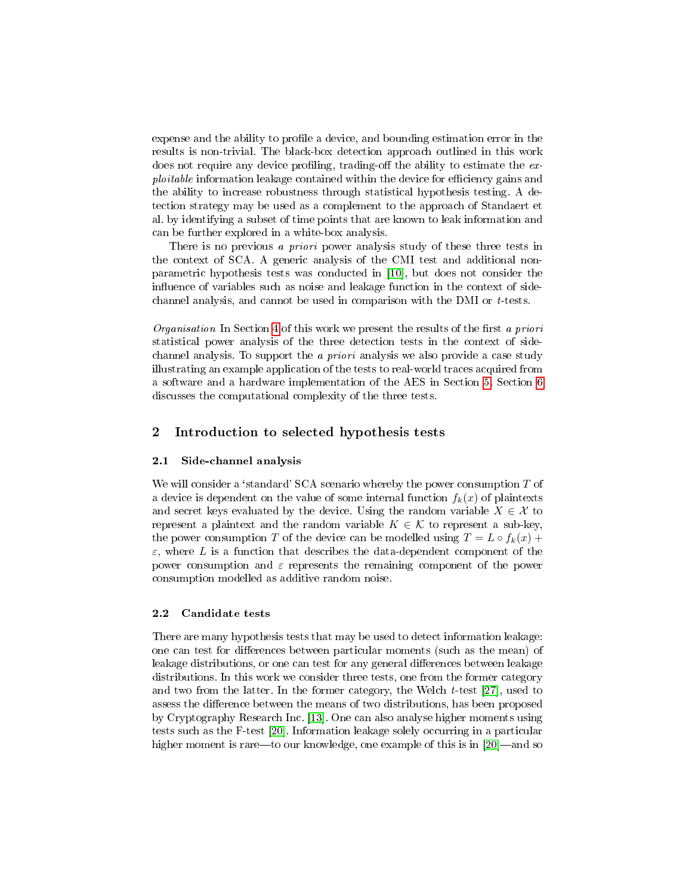expense and the ability to profile a device, and bounding estimation error in the results is non-trivial. The black-box detection approach outlined in this work does not require any device profiling, trading-off the ability to estimate the  $ex$ ploitable information leakage contained within the device for efficiency gains and the ability to increase robustness through statistical hypothesis testing. A detection strategy may be used as a complement to the approach of Standaert et al. by identifying a subset of time points that are known to leak information and can be further explored in a white-box analysis.

There is no previous *a priori* power analysis study of these three tests in the context of SCA. A generic analysis of the CMI test and additional nonparametric hypothesis tests was conducted in [\[10\]](#page-18-4), but does not consider the influence of variables such as noise and leakage function in the context of sidechannel analysis, and cannot be used in comparison with the DMI or t-tests.

 $Organisation$  In Section [4](#page-8-0) of this work we present the results of the first a priori statistical power analysis of the three detection tests in the context of sidechannel analysis. To support the a priori analysis we also provide a case study illustrating an example application of the tests to real-world traces acquired from a software and a hardware implementation of the AES in Section [5.](#page-12-0) Section [6](#page-16-0) discusses the computational complexity of the three tests.

#### 2 Introduction to selected hypothesis tests

#### <span id="page-2-0"></span>2.1 Side-channel analysis

We will consider a 'standard' SCA scenario whereby the power consumption  $T$  of a device is dependent on the value of some internal function  $f_k(x)$  of plaintexts and secret keys evaluated by the device. Using the random variable  $X \in \mathcal{X}$  to represent a plaintext and the random variable  $K \in \mathcal{K}$  to represent a sub-key, the power consumption T of the device can be modelled using  $T = L \circ f_k(x) +$  $\varepsilon$ , where L is a function that describes the data-dependent component of the power consumption and  $\varepsilon$  represents the remaining component of the power consumption modelled as additive random noise.

#### 2.2 Candidate tests

There are many hypothesis tests that may be used to detect information leakage: one can test for differences between particular moments (such as the mean) of leakage distributions, or one can test for any general differences between leakage distributions. In this work we consider three tests, one from the former category and two from the latter. In the former category, the Welch  $t$ -test [\[27\]](#page-19-4), used to assess the difference between the means of two distributions, has been proposed by Cryptography Research Inc. [\[13\]](#page-19-0). One can also analyse higher moments using tests such as the F-test [\[20\]](#page-19-5). Information leakage solely occurring in a particular higher moment is rare—to our knowledge, one example of this is in  $[20]$ —and so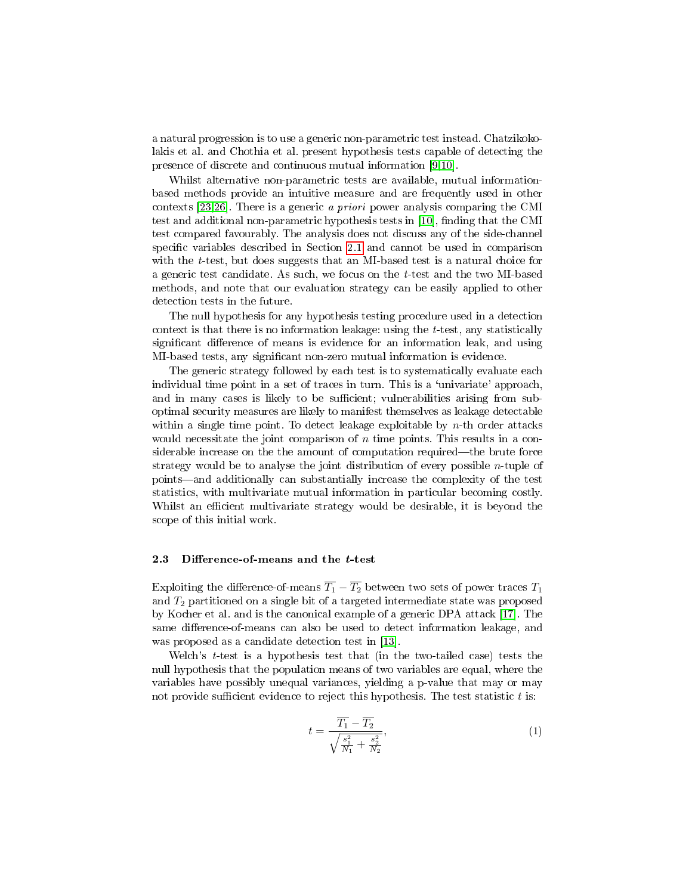a natural progression is to use a generic non-parametric test instead. Chatzikokolakis et al. and Chothia et al. present hypothesis tests capable of detecting the presence of discrete and continuous mutual information [\[9,](#page-18-5)[10\]](#page-18-4).

Whilst alternative non-parametric tests are available, mutual informationbased methods provide an intuitive measure and are frequently used in other contexts [\[23,](#page-19-6)[26\]](#page-19-3). There is a generic a priori power analysis comparing the CMI test and additional non-parametric hypothesis tests in [\[10\]](#page-18-4), finding that the CMI test compared favourably. The analysis does not discuss any of the side-channel specific variables described in Section [2.1](#page-2-0) and cannot be used in comparison with the *t*-test, but does suggests that an MI-based test is a natural choice for a generic test candidate. As such, we focus on the t-test and the two MI-based methods, and note that our evaluation strategy can be easily applied to other detection tests in the future.

The null hypothesis for any hypothesis testing procedure used in a detection context is that there is no information leakage: using the  $t$ -test, any statistically significant difference of means is evidence for an information leak, and using MI-based tests, any signicant non-zero mutual information is evidence.

The generic strategy followed by each test is to systematically evaluate each individual time point in a set of traces in turn. This is a 'univariate' approach, and in many cases is likely to be sufficient; vulnerabilities arising from suboptimal security measures are likely to manifest themselves as leakage detectable within a single time point. To detect leakage exploitable by  $n$ -th order attacks would necessitate the joint comparison of  $n$  time points. This results in a considerable increase on the the amount of computation required—the brute force strategy would be to analyse the joint distribution of every possible  $n$ -tuple of points—and additionally can substantially increase the complexity of the test statistics, with multivariate mutual information in particular becoming costly. Whilst an efficient multivariate strategy would be desirable, it is beyond the scope of this initial work.

#### 2.3 Difference-of-means and the  $t$ -test

Exploiting the difference-of-means  $\overline{T_1} - \overline{T_2}$  between two sets of power traces  $T_1$ and  $T_2$  partitioned on a single bit of a targeted intermediate state was proposed by Kocher et al. and is the canonical example of a generic DPA attack [\[17\]](#page-19-7). The same difference-of-means can also be used to detect information leakage, and was proposed as a candidate detection test in [\[13\]](#page-19-0).

Welch's  $t$ -test is a hypothesis test that (in the two-tailed case) tests the null hypothesis that the population means of two variables are equal, where the variables have possibly unequal variances, yielding a p-value that may or may not provide sufficient evidence to reject this hypothesis. The test statistic  $t$  is:

$$
t = \frac{\overline{T_1} - \overline{T_2}}{\sqrt{\frac{s_1^2}{N_1} + \frac{s_2^2}{N_2}}},\tag{1}
$$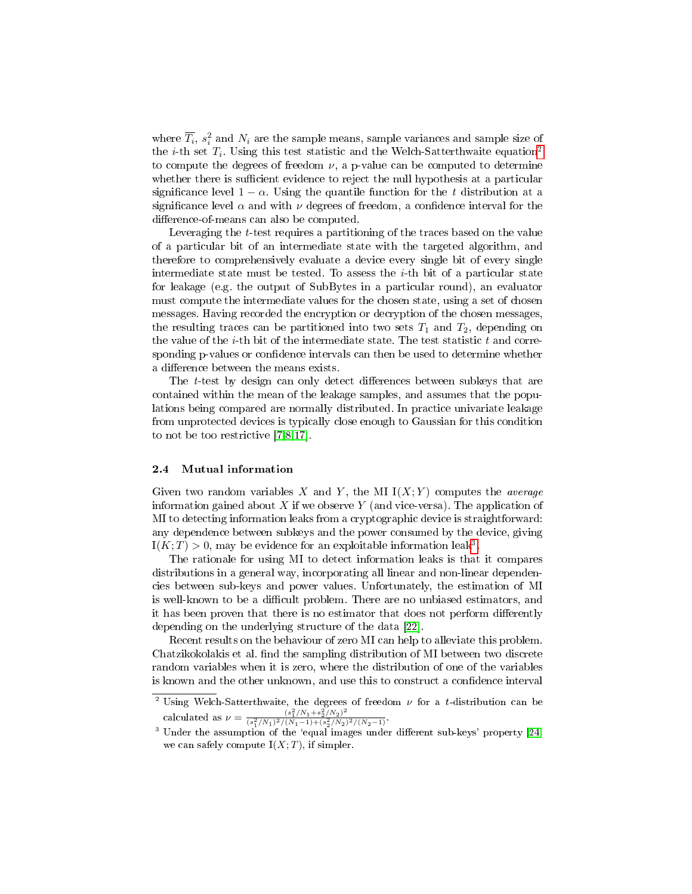where  $\overline{T_i}$ ,  $s_i^2$  and  $N_i$  are the sample means, sample variances and sample size of the *i*-th set  $T_i$ . Using this test statistic and the Welch-Satterthwaite equation<sup>[2](#page-4-0)</sup> to compute the degrees of freedom  $\nu$ , a p-value can be computed to determine whether there is sufficient evidence to reject the null hypothesis at a particular significance level  $1 - \alpha$ . Using the quantile function for the t distribution at a significance level  $\alpha$  and with  $\nu$  degrees of freedom, a confidence interval for the difference-of-means can also be computed.

Leveraging the t-test requires a partitioning of the traces based on the value of a particular bit of an intermediate state with the targeted algorithm, and therefore to comprehensively evaluate a device every single bit of every single intermediate state must be tested. To assess the  $i$ -th bit of a particular state for leakage (e.g. the output of SubBytes in a particular round), an evaluator must compute the intermediate values for the chosen state, using a set of chosen messages. Having recorded the encryption or decryption of the chosen messages, the resulting traces can be partitioned into two sets  $T_1$  and  $T_2$ , depending on the value of the  $i$ -th bit of the intermediate state. The test statistic  $t$  and corresponding p-values or confidence intervals can then be used to determine whether a difference between the means exists.

The  $t$ -test by design can only detect differences between subkeys that are contained within the mean of the leakage samples, and assumes that the populations being compared are normally distributed. In practice univariate leakage from unprotected devices is typically close enough to Gaussian for this condition to not be too restrictive [\[7,](#page-18-6)[8](#page-18-7)[,17\]](#page-19-7).

#### 2.4 Mutual information

Given two random variables X and Y, the MI  $I(X; Y)$  computes the *average* information gained about X if we observe Y (and vice-versa). The application of MI to detecting information leaks from a cryptographic device is straightforward: any dependence between subkeys and the power consumed by the device, giving  $I(K;T) > 0$ , may be evidence for an exploitable information leak<sup>[3](#page-4-1)</sup>.

The rationale for using MI to detect information leaks is that it compares distributions in a general way, incorporating all linear and non-linear dependencies between sub-keys and power values. Unfortunately, the estimation of MI is well-known to be a difficult problem. There are no unbiased estimators, and it has been proven that there is no estimator that does not perform differently depending on the underlying structure of the data [\[22\]](#page-19-8).

Recent results on the behaviour of zero MI can help to alleviate this problem. Chatzikokolakis et al. find the sampling distribution of MI between two discrete random variables when it is zero, where the distribution of one of the variables is known and the other unknown, and use this to construct a confidence interval

<span id="page-4-0"></span><sup>&</sup>lt;sup>2</sup> Using Welch-Satterthwaite, the degrees of freedom  $\nu$  for a *t*-distribution can be calculated as  $\nu = \frac{(s_1^2/N_1 + s_2^2/N_2)^2}{(s_1^2/N_1 + s_2^2/N_2 + s_1^2)/N_1}$  $\frac{(s_1/N_1+s_2/N_2)}{(s_1^2/N_1)^2/(N_1-1)+(s_2^2/N_2)^2/(N_2-1)}.$ 

<span id="page-4-1"></span> $3$  Under the assumption of the 'equal images under different sub-keys' property [\[24\]](#page-19-9) we can safely compute  $I(X;T)$ , if simpler.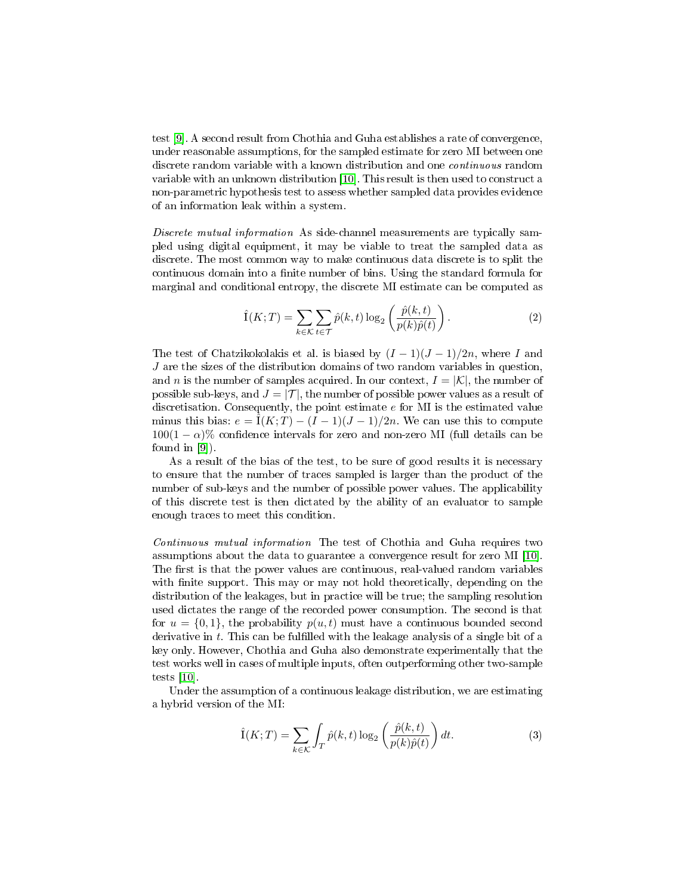test [\[9\]](#page-18-5). A second result from Chothia and Guha establishes a rate of convergence, under reasonable assumptions, for the sampled estimate for zero MI between one discrete random variable with a known distribution and one continuous random variable with an unknown distribution [\[10\]](#page-18-4). This result is then used to construct a non-parametric hypothesis test to assess whether sampled data provides evidence of an information leak within a system.

Discrete mutual information As side-channel measurements are typically sampled using digital equipment, it may be viable to treat the sampled data as discrete. The most common way to make continuous data discrete is to split the continuous domain into a finite number of bins. Using the standard formula for marginal and conditional entropy, the discrete MI estimate can be computed as

$$
\hat{I}(K;T) = \sum_{k \in \mathcal{K}} \sum_{t \in \mathcal{T}} \hat{p}(k,t) \log_2 \left( \frac{\hat{p}(k,t)}{p(k)\hat{p}(t)} \right).
$$
\n(2)

The test of Chatzikokolakis et al. is biased by  $(I-1)(J-1)/2n$ , where I and J are the sizes of the distribution domains of two random variables in question, and n is the number of samples acquired. In our context,  $I = |\mathcal{K}|$ , the number of possible sub-keys, and  $J = |\mathcal{T}|$ , the number of possible power values as a result of discretisation. Consequently, the point estimate e for MI is the estimated value minus this bias:  $e = \hat{I}(K;T) - (I-1)(J-1)/2n$ . We can use this to compute  $100(1 - \alpha)\%$  confidence intervals for zero and non-zero MI (full details can be found in [\[9\]](#page-18-5)).

As a result of the bias of the test, to be sure of good results it is necessary to ensure that the number of traces sampled is larger than the product of the number of sub-keys and the number of possible power values. The applicability of this discrete test is then dictated by the ability of an evaluator to sample enough traces to meet this condition.

Continuous mutual information The test of Chothia and Guha requires two assumptions about the data to guarantee a convergence result for zero MI [\[10\]](#page-18-4). The first is that the power values are continuous, real-valued random variables with finite support. This may or may not hold theoretically, depending on the distribution of the leakages, but in practice will be true; the sampling resolution used dictates the range of the recorded power consumption. The second is that for  $u = \{0, 1\}$ , the probability  $p(u, t)$  must have a continuous bounded second derivative in t. This can be fulfilled with the leakage analysis of a single bit of a key only. However, Chothia and Guha also demonstrate experimentally that the test works well in cases of multiple inputs, often outperforming other two-sample tests [\[10\]](#page-18-4).

Under the assumption of a continuous leakage distribution, we are estimating a hybrid version of the MI:

$$
\hat{I}(K;T) = \sum_{k \in \mathcal{K}} \int_{T} \hat{p}(k,t) \log_2 \left(\frac{\hat{p}(k,t)}{p(k)\hat{p}(t)}\right) dt.
$$
\n(3)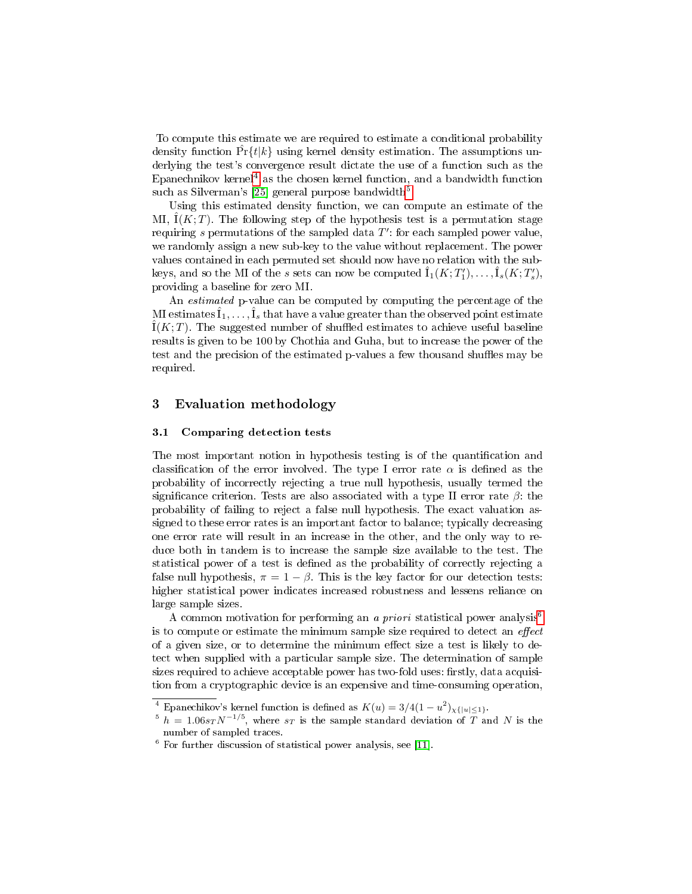To compute this estimate we are required to estimate a conditional probability density function  $Pr{t|k}$  using kernel density estimation. The assumptions underlying the test's convergence result dictate the use of a function such as the Epanechnikov kernel<sup>[4](#page-6-0)</sup> as the chosen kernel function, and a bandwidth function  $\frac{1}{2}$ such as Silverman's [\[25\]](#page-19-10) general purpose bandwidth $^5$  $^5$ .

Using this estimated density function, we can compute an estimate of the MI,  $I(K; T)$ . The following step of the hypothesis test is a permutation stage requiring  $s$  permutations of the sampled data  $T'$ : for each sampled power value, we randomly assign a new sub-key to the value without replacement. The power values contained in each permuted set should now have no relation with the subkeys, and so the MI of the s sets can now be computed  $\hat{I}_1(K; T'_1), \ldots, \hat{I}_s(K; T'_s),$ providing a baseline for zero MI.

An estimated p-value can be computed by computing the percentage of the MI estimates  $\hat{\mathbf{I}}_1, \ldots, \hat{\mathbf{I}}_s$  that have a value greater than the observed point estimate  $\hat{I}(K;T)$ . The suggested number of shuffled estimates to achieve useful baseline results is given to be 100 by Chothia and Guha, but to increase the power of the test and the precision of the estimated p-values a few thousand shuffles may be required.

#### 3 Evaluation methodology

#### 3.1 Comparing detection tests

The most important notion in hypothesis testing is of the quantification and classification of the error involved. The type I error rate  $\alpha$  is defined as the probability of incorrectly rejecting a true null hypothesis, usually termed the significance criterion. Tests are also associated with a type II error rate  $\beta$ : the probability of failing to reject a false null hypothesis. The exact valuation assigned to these error rates is an important factor to balance; typically decreasing one error rate will result in an increase in the other, and the only way to reduce both in tandem is to increase the sample size available to the test. The statistical power of a test is defined as the probability of correctly rejecting a false null hypothesis,  $\pi = 1 - \beta$ . This is the key factor for our detection tests: higher statistical power indicates increased robustness and lessens reliance on large sample sizes.

A common motivation for performing an a priori statistical power analysis<sup>[6](#page-6-2)</sup> is to compute or estimate the minimum sample size required to detect an effect of a given size, or to determine the minimum effect size a test is likely to detect when supplied with a particular sample size. The determination of sample sizes required to achieve acceptable power has two-fold uses: firstly, data acquisition from a cryptographic device is an expensive and time-consuming operation,

<span id="page-6-0"></span><sup>&</sup>lt;sup>4</sup> Epanechikov's kernel function is defined as  $K(u) = 3/4(1 - u^2)_{\chi\{|u| \le 1\}}$ .

<span id="page-6-1"></span> $5 h = 1.06 s_T N^{-1/5}$ , where  $s_T$  is the sample standard deviation of T and N is the number of sampled traces.

<span id="page-6-2"></span> $6$  For further discussion of statistical power analysis, see [\[11\]](#page-18-8).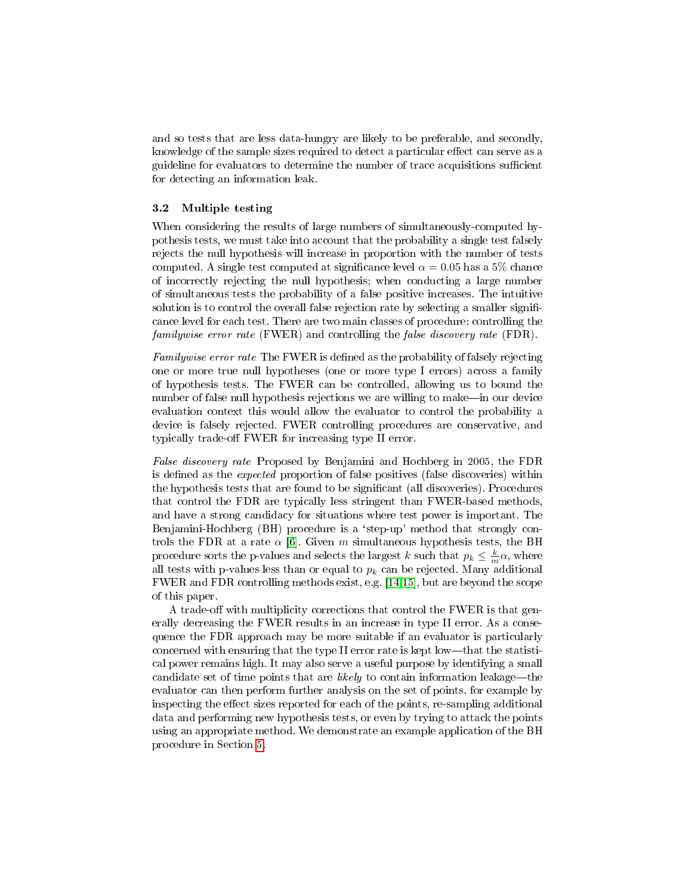and so tests that are less data-hungry are likely to be preferable, and secondly, knowledge of the sample sizes required to detect a particular effect can serve as a guideline for evaluators to determine the number of trace acquisitions sufficient for detecting an information leak.

#### 3.2 Multiple testing

When considering the results of large numbers of simultaneously-computed hypothesis tests, we must take into account that the probability a single test falsely rejects the null hypothesis will increase in proportion with the number of tests computed. A single test computed at significance level  $\alpha = 0.05$  has a 5% chance of incorrectly rejecting the null hypothesis; when conducting a large number of simultaneous tests the probability of a false positive increases. The intuitive solution is to control the overall false rejection rate by selecting a smaller significance level for each test. There are two main classes of procedure: controlling the familywise error rate (FWER) and controlling the false discovery rate (FDR).

Familywise error rate The FWER is defined as the probability of falsely rejecting one or more true null hypotheses (one or more type I errors) across a family of hypothesis tests. The FWER can be controlled, allowing us to bound the number of false null hypothesis rejections we are willing to make—in our device evaluation context this would allow the evaluator to control the probability a device is falsely rejected. FWER controlling procedures are conservative, and typically trade-off FWER for increasing type II error.

False discovery rate Proposed by Benjamini and Hochberg in 2005, the FDR is defined as the *expected* proportion of false positives (false discoveries) within the hypothesis tests that are found to be signicant (all discoveries). Procedures that control the FDR are typically less stringent than FWER-based methods, and have a strong candidacy for situations where test power is important. The Benjamini-Hochberg (BH) procedure is a 'step-up' method that strongly controls the FDR at a rate  $\alpha$  [\[6\]](#page-18-9). Given m simultaneous hypothesis tests, the BH procedure sorts the p-values and selects the largest k such that  $p_k \leq \frac{k}{m}\alpha$ , where all tests with p-values less than or equal to  $p_k$  can be rejected. Many additional FWER and FDR controlling methods exist, e.g. [\[14,](#page-19-11)[15\]](#page-19-12), but are beyond the scope of this paper.

A trade-off with multiplicity corrections that control the FWER is that generally decreasing the FWER results in an increase in type II error. As a consequence the FDR approach may be more suitable if an evaluator is particularly concerned with ensuring that the type II error rate is kept low-that the statistical power remains high. It may also serve a useful purpose by identifying a small candidate set of time points that are *likely* to contain information leakage—the evaluator can then perform further analysis on the set of points, for example by inspecting the effect sizes reported for each of the points, re-sampling additional data and performing new hypothesis tests, or even by trying to attack the points using an appropriate method. We demonstrate an example application of the BH procedure in Section [5.](#page-12-0)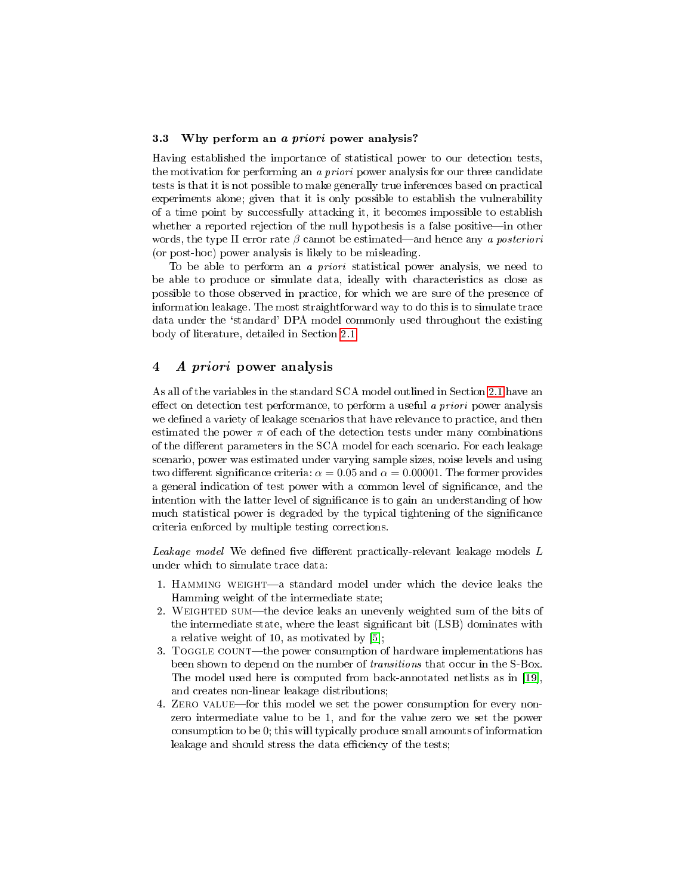#### 3.3 Why perform an a priori power analysis?

Having established the importance of statistical power to our detection tests, the motivation for performing an a *priori* power analysis for our three candidate tests is that it is not possible to make generally true inferences based on practical experiments alone; given that it is only possible to establish the vulnerability of a time point by successfully attacking it, it becomes impossible to establish whether a reported rejection of the null hypothesis is a false positive—in other words, the type II error rate  $\beta$  cannot be estimated—and hence any a posteriori (or post-hoc) power analysis is likely to be misleading.

To be able to perform an a priori statistical power analysis, we need to be able to produce or simulate data, ideally with characteristics as close as possible to those observed in practice, for which we are sure of the presence of information leakage. The most straightforward way to do this is to simulate trace data under the 'standard' DPA model commonly used throughout the existing body of literature, detailed in Section [2.1.](#page-2-0)

#### <span id="page-8-0"></span>4 A priori power analysis

As all of the variables in the standard SCA model outlined in Section [2.1](#page-2-0) have an effect on detection test performance, to perform a useful a *priori* power analysis we defined a variety of leakage scenarios that have relevance to practice, and then estimated the power  $\pi$  of each of the detection tests under many combinations of the different parameters in the SCA model for each scenario. For each leakage scenario, power was estimated under varying sample sizes, noise levels and using two different significance criteria:  $\alpha = 0.05$  and  $\alpha = 0.00001$ . The former provides a general indication of test power with a common level of signicance, and the intention with the latter level of signicance is to gain an understanding of how much statistical power is degraded by the typical tightening of the signicance criteria enforced by multiple testing corrections.

Leakage model We defined five different practically-relevant leakage models  $L$ under which to simulate trace data:

- 1. HAMMING WEIGHT-a standard model under which the device leaks the Hamming weight of the intermediate state;
- 2. WEIGHTED SUM—the device leaks an unevenly weighted sum of the bits of the intermediate state, where the least signicant bit (LSB) dominates with a relative weight of 10, as motivated by [\[5\]](#page-18-10);
- 3. TOGGLE COUNT—the power consumption of hardware implementations has been shown to depend on the number of transitions that occur in the S-Box. The model used here is computed from back-annotated netlists as in [\[19\]](#page-19-13), and creates non-linear leakage distributions;
- 4. ZERO VALUE—for this model we set the power consumption for every nonzero intermediate value to be 1, and for the value zero we set the power consumption to be 0; this will typically produce small amounts of information leakage and should stress the data efficiency of the tests;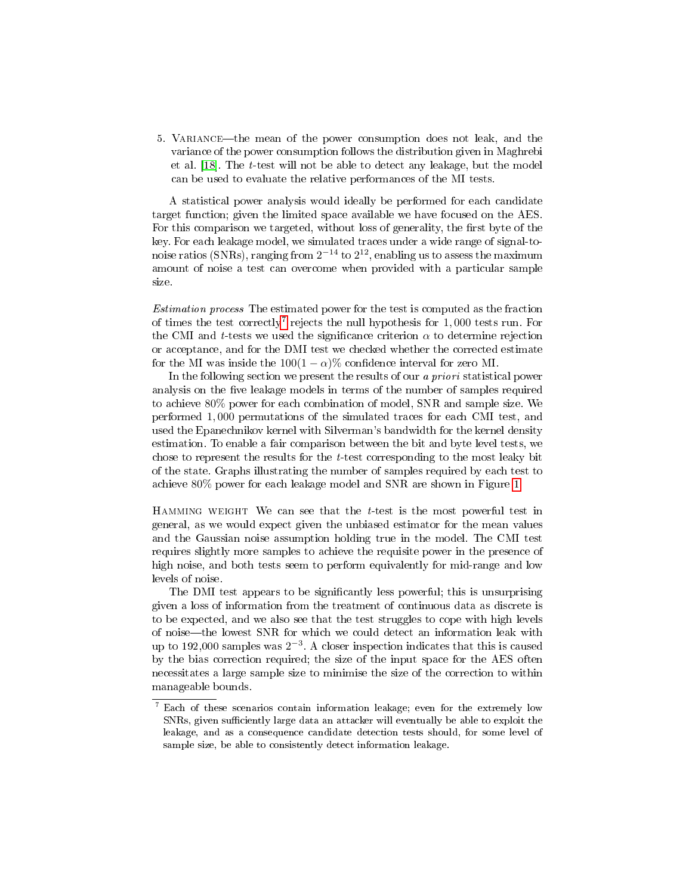5. VARIANCE—the mean of the power consumption does not leak, and the variance of the power consumption follows the distribution given in Maghrebi et al. [\[18\]](#page-19-14). The t-test will not be able to detect any leakage, but the model can be used to evaluate the relative performances of the MI tests.

A statistical power analysis would ideally be performed for each candidate target function; given the limited space available we have focused on the AES. For this comparison we targeted, without loss of generality, the first byte of the key. For each leakage model, we simulated traces under a wide range of signal-tonoise ratios (SNRs), ranging from  $2^{-14}$  to  $2^{12}$ , enabling us to assess the maximum amount of noise a test can overcome when provided with a particular sample size.

Estimation process The estimated power for the test is computed as the fraction of times the test correctly[7](#page-9-0) rejects the null hypothesis for 1, 000 tests run. For the CMI and t-tests we used the significance criterion  $\alpha$  to determine rejection or acceptance, and for the DMI test we checked whether the corrected estimate for the MI was inside the  $100(1 - \alpha)\%$  confidence interval for zero MI.

In the following section we present the results of our a priori statistical power analysis on the five leakage models in terms of the number of samples required to achieve 80% power for each combination of model, SNR and sample size. We performed 1, 000 permutations of the simulated traces for each CMI test, and used the Epanechnikov kernel with Silverman's bandwidth for the kernel density estimation. To enable a fair comparison between the bit and byte level tests, we chose to represent the results for the t-test corresponding to the most leaky bit of the state. Graphs illustrating the number of samples required by each test to achieve 80% power for each leakage model and SNR are shown in Figure [1.](#page-10-0)

Hamming weight We can see that the t-test is the most powerful test in general, as we would expect given the unbiased estimator for the mean values and the Gaussian noise assumption holding true in the model. The CMI test requires slightly more samples to achieve the requisite power in the presence of high noise, and both tests seem to perform equivalently for mid-range and low levels of noise.

The DMI test appears to be significantly less powerful; this is unsurprising given a loss of information from the treatment of continuous data as discrete is to be expected, and we also see that the test struggles to cope with high levels of noise—the lowest SNR for which we could detect an information leak with up to 192,000 samples was  $2^{-3}$ . A closer inspection indicates that this is caused by the bias correction required; the size of the input space for the AES often necessitates a large sample size to minimise the size of the correction to within manageable bounds.

<span id="page-9-0"></span><sup>7</sup> Each of these scenarios contain information leakage; even for the extremely low SNRs, given sufficiently large data an attacker will eventually be able to exploit the leakage, and as a consequence candidate detection tests should, for some level of sample size, be able to consistently detect information leakage.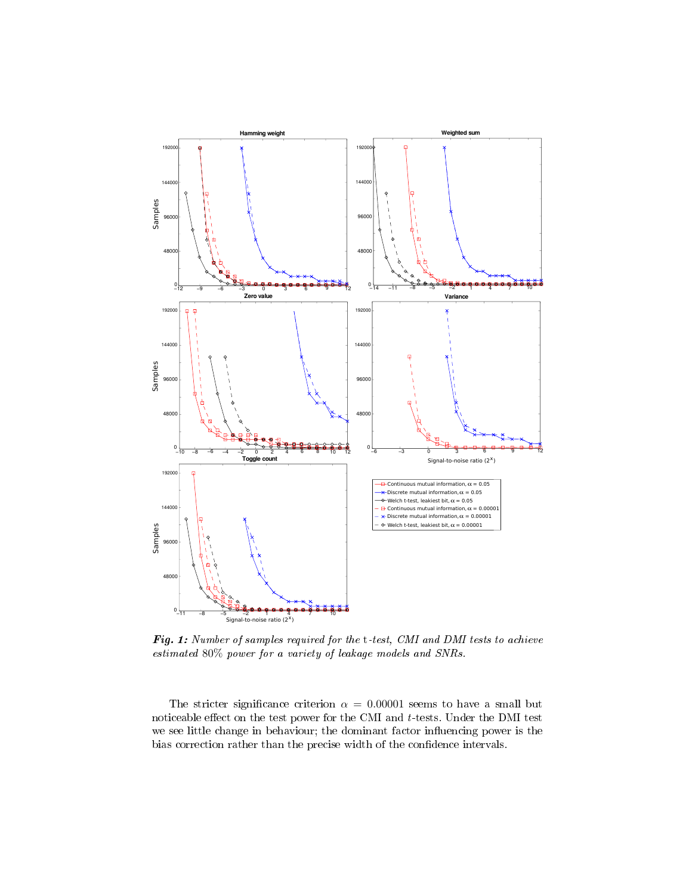<span id="page-10-0"></span>

Fig. 1: Number of samples required for the t-test, CMI and DMI tests to achieve estimated 80% power for a variety of leakage models and SNRs.

The stricter significance criterion  $\alpha = 0.00001$  seems to have a small but noticeable effect on the test power for the CMI and  $t$ -tests. Under the DMI test we see little change in behaviour; the dominant factor influencing power is the bias correction rather than the precise width of the confidence intervals.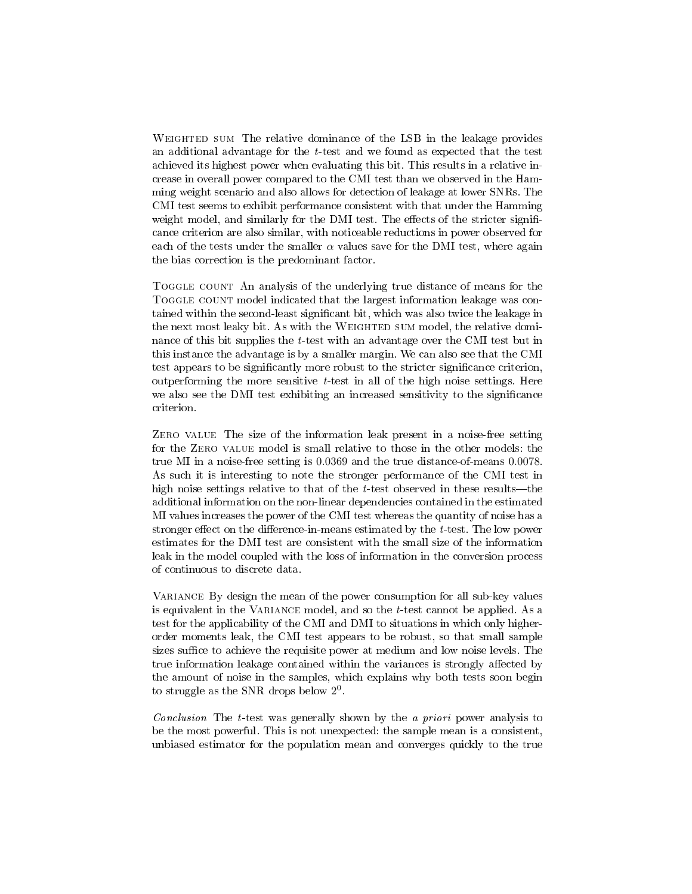WEIGHTED SUM The relative dominance of the LSB in the leakage provides an additional advantage for the t-test and we found as expected that the test achieved its highest power when evaluating this bit. This results in a relative increase in overall power compared to the CMI test than we observed in the Hamming weight scenario and also allows for detection of leakage at lower SNRs. The CMI test seems to exhibit performance consistent with that under the Hamming weight model, and similarly for the DMI test. The effects of the stricter significance criterion are also similar, with noticeable reductions in power observed for each of the tests under the smaller  $\alpha$  values save for the DMI test, where again the bias correction is the predominant factor.

Toggle count An analysis of the underlying true distance of means for the TOGGLE COUNT model indicated that the largest information leakage was contained within the second-least significant bit, which was also twice the leakage in the next most leaky bit. As with the WEIGHTED SUM model, the relative dominance of this bit supplies the t-test with an advantage over the CMI test but in this instance the advantage is by a smaller margin. We can also see that the CMI test appears to be significantly more robust to the stricter significance criterion, outperforming the more sensitive t-test in all of the high noise settings. Here we also see the DMI test exhibiting an increased sensitivity to the significance criterion.

Zero value The size of the information leak present in a noise-free setting for the Zero value model is small relative to those in the other models: the true MI in a noise-free setting is 0.0369 and the true distance-of-means 0.0078. As such it is interesting to note the stronger performance of the CMI test in high noise settings relative to that of the  $t$ -test observed in these results—the additional information on the non-linear dependencies contained in the estimated MI values increases the power of the CMI test whereas the quantity of noise has a stronger effect on the difference-in-means estimated by the  $t$ -test. The low power estimates for the DMI test are consistent with the small size of the information leak in the model coupled with the loss of information in the conversion process of continuous to discrete data.

Variance By design the mean of the power consumption for all sub-key values is equivalent in the Variance model, and so the t-test cannot be applied. As a test for the applicability of the CMI and DMI to situations in which only higherorder moments leak, the CMI test appears to be robust, so that small sample sizes suffice to achieve the requisite power at medium and low noise levels. The true information leakage contained within the variances is strongly affected by the amount of noise in the samples, which explains why both tests soon begin to struggle as the SNR drops below  $2^0$ .

Conclusion The t-test was generally shown by the a priori power analysis to be the most powerful. This is not unexpected: the sample mean is a consistent, unbiased estimator for the population mean and converges quickly to the true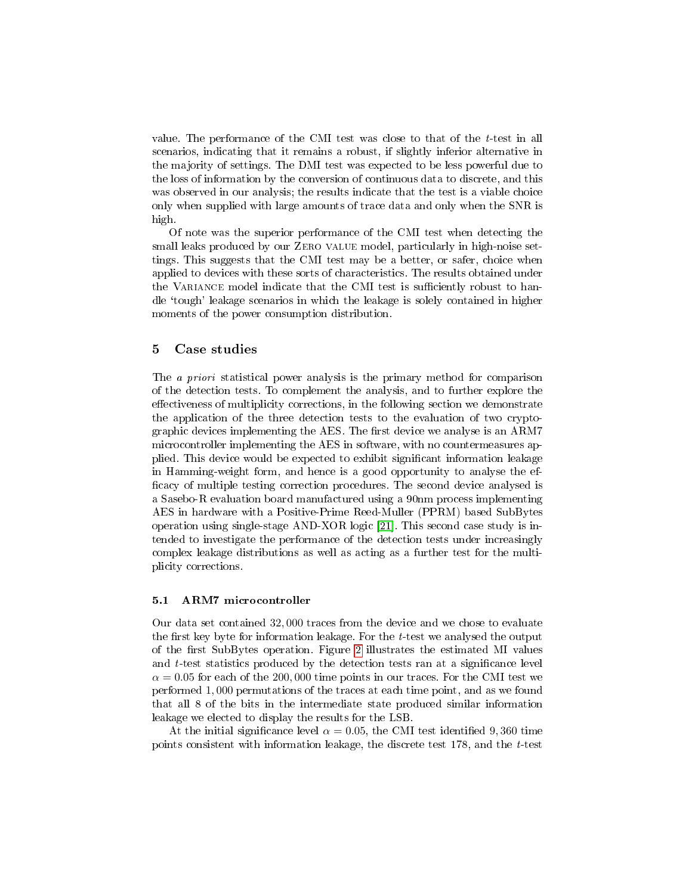value. The performance of the CMI test was close to that of the t-test in all scenarios, indicating that it remains a robust, if slightly inferior alternative in the majority of settings. The DMI test was expected to be less powerful due to the loss of information by the conversion of continuous data to discrete, and this was observed in our analysis; the results indicate that the test is a viable choice only when supplied with large amounts of trace data and only when the SNR is high.

Of note was the superior performance of the CMI test when detecting the small leaks produced by our ZERO VALUE model, particularly in high-noise settings. This suggests that the CMI test may be a better, or safer, choice when applied to devices with these sorts of characteristics. The results obtained under the VARIANCE model indicate that the CMI test is sufficiently robust to handle `tough' leakage scenarios in which the leakage is solely contained in higher moments of the power consumption distribution.

#### <span id="page-12-0"></span>5 Case studies

The *a priori* statistical power analysis is the primary method for comparison of the detection tests. To complement the analysis, and to further explore the effectiveness of multiplicity corrections, in the following section we demonstrate the application of the three detection tests to the evaluation of two cryptographic devices implementing the AES. The first device we analyse is an ARM7 microcontroller implementing the AES in software, with no countermeasures applied. This device would be expected to exhibit significant information leakage in Hamming-weight form, and hence is a good opportunity to analyse the ef ficacy of multiple testing correction procedures. The second device analysed is a Sasebo-R evaluation board manufactured using a 90nm process implementing AES in hardware with a Positive-Prime Reed-Muller (PPRM) based SubBytes operation using single-stage AND-XOR logic [\[21\]](#page-19-15). This second case study is intended to investigate the performance of the detection tests under increasingly complex leakage distributions as well as acting as a further test for the multiplicity corrections.

#### 5.1 ARM7 microcontroller

Our data set contained 32, 000 traces from the device and we chose to evaluate the first key byte for information leakage. For the  $t$ -test we analysed the output of the first SubBytes operation. Figure [2](#page-13-0) illustrates the estimated MI values and  $t$ -test statistics produced by the detection tests ran at a significance level  $\alpha = 0.05$  for each of the 200,000 time points in our traces. For the CMI test we performed 1, 000 permutations of the traces at each time point, and as we found that all 8 of the bits in the intermediate state produced similar information leakage we elected to display the results for the LSB.

At the initial significance level  $\alpha = 0.05$ , the CMI test identified 9,360 time points consistent with information leakage, the discrete test 178, and the t-test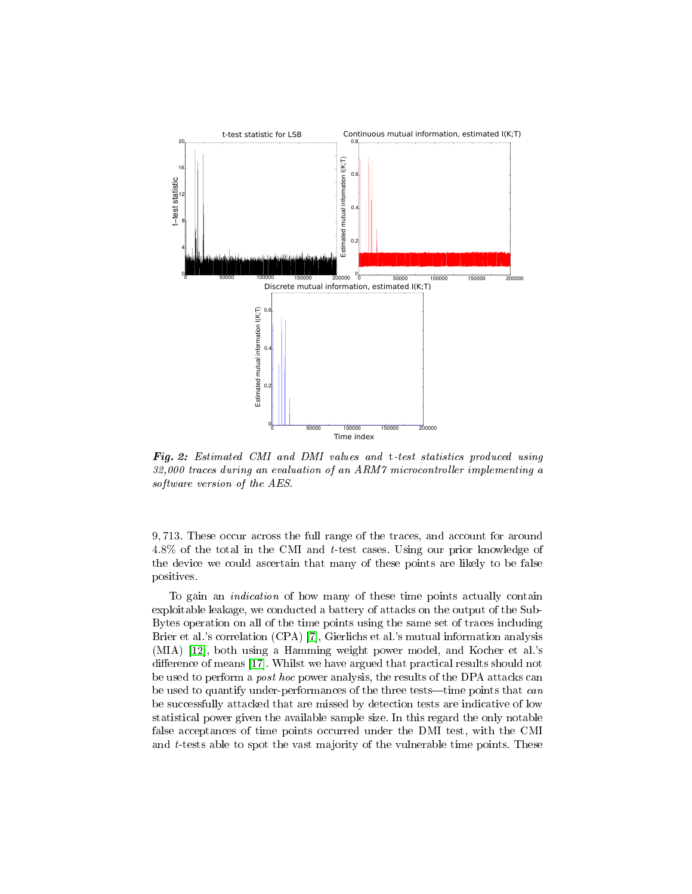<span id="page-13-0"></span>

Fig. 2: Estimated CMI and DMI values and t-test statistics produced using 32,000 traces during an evaluation of an ARM7 microcontroller implementing a software version of the AES.

9, 713. These occur across the full range of the traces, and account for around  $4.8\%$  of the total in the CMI and  $t$ -test cases. Using our prior knowledge of the device we could ascertain that many of these points are likely to be false positives.

To gain an indication of how many of these time points actually contain exploitable leakage, we conducted a battery of attacks on the output of the Sub-Bytes operation on all of the time points using the same set of traces including Brier et al.'s correlation (CPA) [\[7\]](#page-18-6), Gierlichs et al.'s mutual information analysis (MIA) [\[12\]](#page-19-16), both using a Hamming weight power model, and Kocher et al.'s difference of means [\[17\]](#page-19-7). Whilst we have argued that practical results should not be used to perform a *post hoc* power analysis, the results of the DPA attacks can be used to quantify under-performances of the three tests—time points that  $can$ be successfully attacked that are missed by detection tests are indicative of low statistical power given the available sample size. In this regard the only notable false acceptances of time points occurred under the DMI test, with the CMI and t-tests able to spot the vast majority of the vulnerable time points. These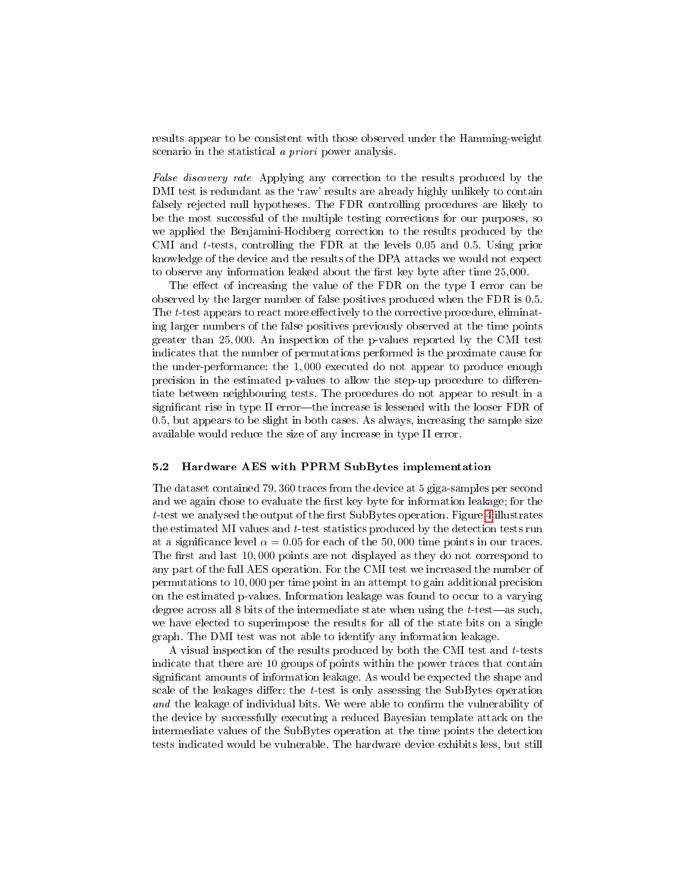results appear to be consistent with those observed under the Hamming-weight scenario in the statistical a priori power analysis.

False discovery rate Applying any correction to the results produced by the DMI test is redundant as the 'raw' results are already highly unlikely to contain falsely rejected null hypotheses. The FDR controlling procedures are likely to be the most successful of the multiple testing corrections for our purposes, so we applied the Benjamini-Hochberg correction to the results produced by the CMI and t-tests, controlling the FDR at the levels 0.05 and 0.5. Using prior knowledge of the device and the results of the DPA attacks we would not expect to observe any information leaked about the first key byte after time 25,000.

The effect of increasing the value of the FDR on the type I error can be observed by the larger number of false positives produced when the FDR is 0.5. The  $t$ -test appears to react more effectively to the corrective procedure, eliminating larger numbers of the false positives previously observed at the time points greater than 25, 000. An inspection of the p-values reported by the CMI test indicates that the number of permutations performed is the proximate cause for the under-performance: the 1, 000 executed do not appear to produce enough precision in the estimated p-values to allow the step-up procedure to differentiate between neighbouring tests. The procedures do not appear to result in a significant rise in type II error—the increase is lessened with the looser  $FDR$  of 0.5, but appears to be slight in both cases. As always, increasing the sample size available would reduce the size of any increase in type II error.

#### 5.2 Hardware AES with PPRM SubBytes implementation

The dataset contained 79, 360 traces from the device at 5 giga-samples per second and we again chose to evaluate the first key byte for information leakage; for the  $t$ -test we analysed the output of the first SubBytes operation. Figure [4](#page-15-0) illustrates the estimated MI values and t-test statistics produced by the detection tests run at a significance level  $\alpha = 0.05$  for each of the 50,000 time points in our traces. The first and last  $10,000$  points are not displayed as they do not correspond to any part of the full AES operation. For the CMI test we increased the number of permutations to 10, 000 per time point in an attempt to gain additional precision on the estimated p-values. Information leakage was found to occur to a varying degree across all 8 bits of the intermediate state when using the  $t$ -test—as such, we have elected to superimpose the results for all of the state bits on a single graph. The DMI test was not able to identify any information leakage.

A visual inspection of the results produced by both the CMI test and t-tests indicate that there are 10 groups of points within the power traces that contain significant amounts of information leakage. As would be expected the shape and scale of the leakages differ: the  $t$ -test is only assessing the SubBytes operation and the leakage of individual bits. We were able to confirm the vulnerability of the device by successfully executing a reduced Bayesian template attack on the intermediate values of the SubBytes operation at the time points the detection tests indicated would be vulnerable. The hardware device exhibits less, but still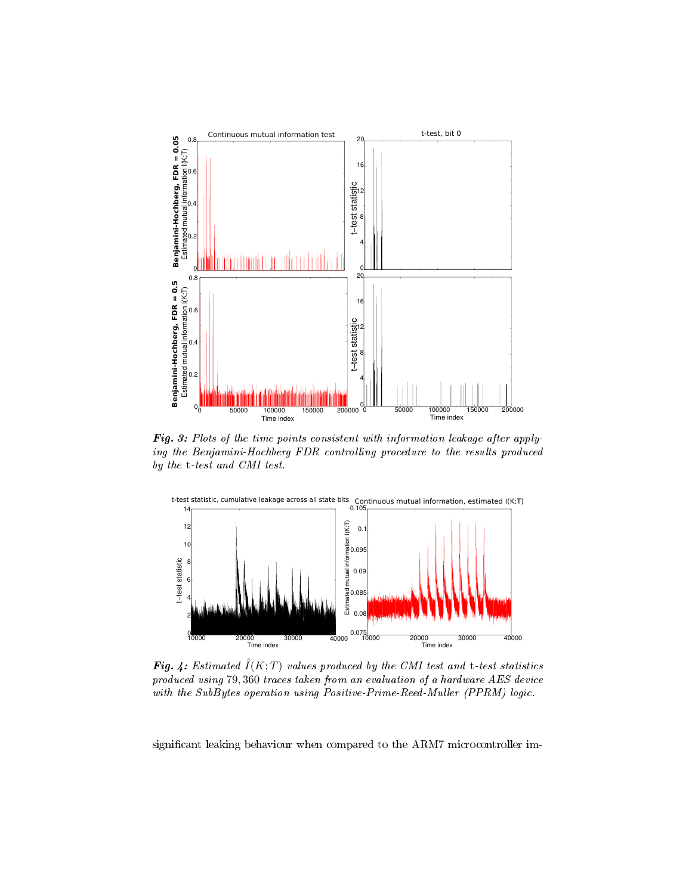

Fig. 3: Plots of the time points consistent with information leakage after applying the Benjamini-Hochberg FDR controlling procedure to the results produced by the t-test and CMI test.

<span id="page-15-0"></span>

**Fig. 4:** Estimated  $\hat{I}(K;T)$  values produced by the CMI test and t-test statistics produced using 79, 360 traces taken from an evaluation of a hardware AES device with the SubBytes operation using Positive-Prime-Reed-Muller (PPRM) logic.

significant leaking behaviour when compared to the ARM7 microcontroller im-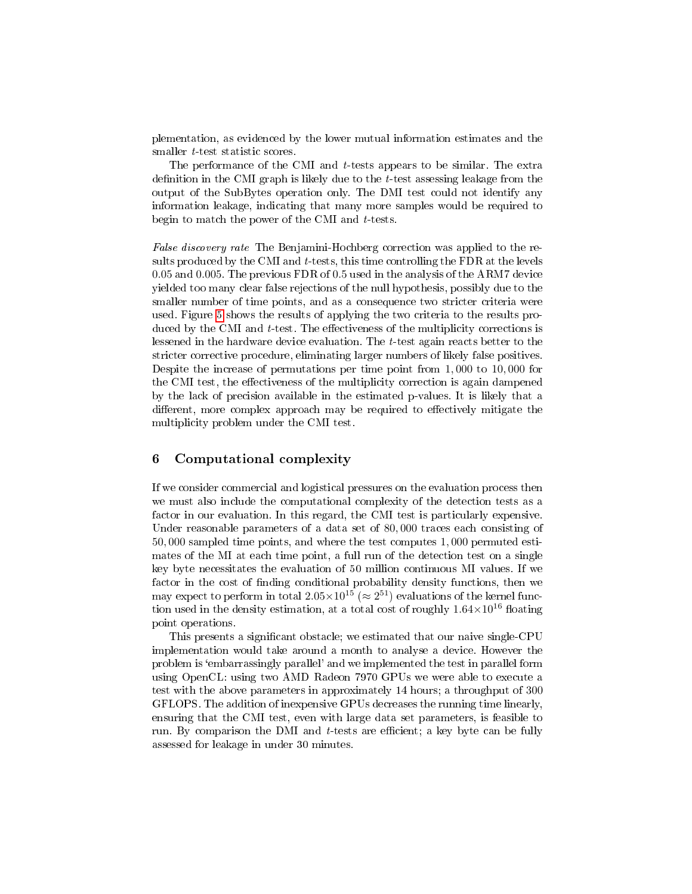plementation, as evidenced by the lower mutual information estimates and the smaller *t*-test statistic scores.

The performance of the CMI and  $t$ -tests appears to be similar. The extra definition in the CMI graph is likely due to the  $t$ -test assessing leakage from the output of the SubBytes operation only. The DMI test could not identify any information leakage, indicating that many more samples would be required to begin to match the power of the CMI and  $t$ -tests.

False discovery rate The Benjamini-Hochberg correction was applied to the results produced by the CMI and t-tests, this time controlling the FDR at the levels 0.05 and 0.005. The previous FDR of 0.5 used in the analysis of the ARM7 device yielded too many clear false rejections of the null hypothesis, possibly due to the smaller number of time points, and as a consequence two stricter criteria were used. Figure [5](#page-17-0) shows the results of applying the two criteria to the results produced by the CMI and  $t$ -test. The effectiveness of the multiplicity corrections is lessened in the hardware device evaluation. The t-test again reacts better to the stricter corrective procedure, eliminating larger numbers of likely false positives. Despite the increase of permutations per time point from 1, 000 to 10, 000 for the CMI test, the effectiveness of the multiplicity correction is again dampened by the lack of precision available in the estimated p-values. It is likely that a different, more complex approach may be required to effectively mitigate the multiplicity problem under the CMI test.

## <span id="page-16-0"></span>6 Computational complexity

If we consider commercial and logistical pressures on the evaluation process then we must also include the computational complexity of the detection tests as a factor in our evaluation. In this regard, the CMI test is particularly expensive. Under reasonable parameters of a data set of 80, 000 traces each consisting of 50, 000 sampled time points, and where the test computes 1, 000 permuted estimates of the MI at each time point, a full run of the detection test on a single key byte necessitates the evaluation of 50 million continuous MI values. If we factor in the cost of finding conditional probability density functions, then we may expect to perform in total  $2.05\times 10^{15}~(\approx 2^{51})$  evaluations of the kernel function used in the density estimation, at a total cost of roughly  $1.64\times10^{16}$  floating point operations.

This presents a significant obstacle; we estimated that our naive single-CPU implementation would take around a month to analyse a device. However the problem is 'embarrassingly parallel' and we implemented the test in parallel form using OpenCL: using two AMD Radeon 7970 GPUs we were able to execute a test with the above parameters in approximately 14 hours; a throughput of 300 GFLOPS. The addition of inexpensive GPUs decreases the running time linearly, ensuring that the CMI test, even with large data set parameters, is feasible to run. By comparison the DMI and  $t$ -tests are efficient; a key byte can be fully assessed for leakage in under 30 minutes.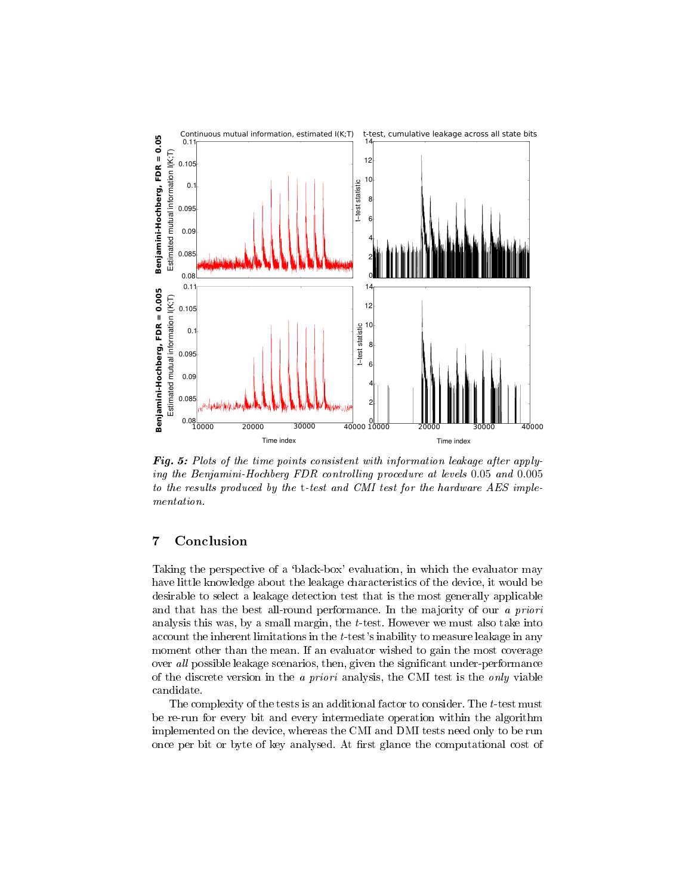<span id="page-17-0"></span>

Fig. 5: Plots of the time points consistent with information leakage after applying the Benjamini-Hochberg FDR controlling procedure at levels 0.05 and 0.005 to the results produced by the t-test and CMI test for the hardware AES implementation.

# 7 Conclusion

Taking the perspective of a 'black-box' evaluation, in which the evaluator may have little knowledge about the leakage characteristics of the device, it would be desirable to select a leakage detection test that is the most generally applicable and that has the best all-round performance. In the majority of our a priori analysis this was, by a small margin, the t-test. However we must also take into account the inherent limitations in the t-test's inability to measure leakage in any moment other than the mean. If an evaluator wished to gain the most coverage over all possible leakage scenarios, then, given the significant under-performance of the discrete version in the a priori analysis, the CMI test is the only viable candidate.

The complexity of the tests is an additional factor to consider. The t-test must be re-run for every bit and every intermediate operation within the algorithm implemented on the device, whereas the CMI and DMI tests need only to be run once per bit or byte of key analysed. At first glance the computational cost of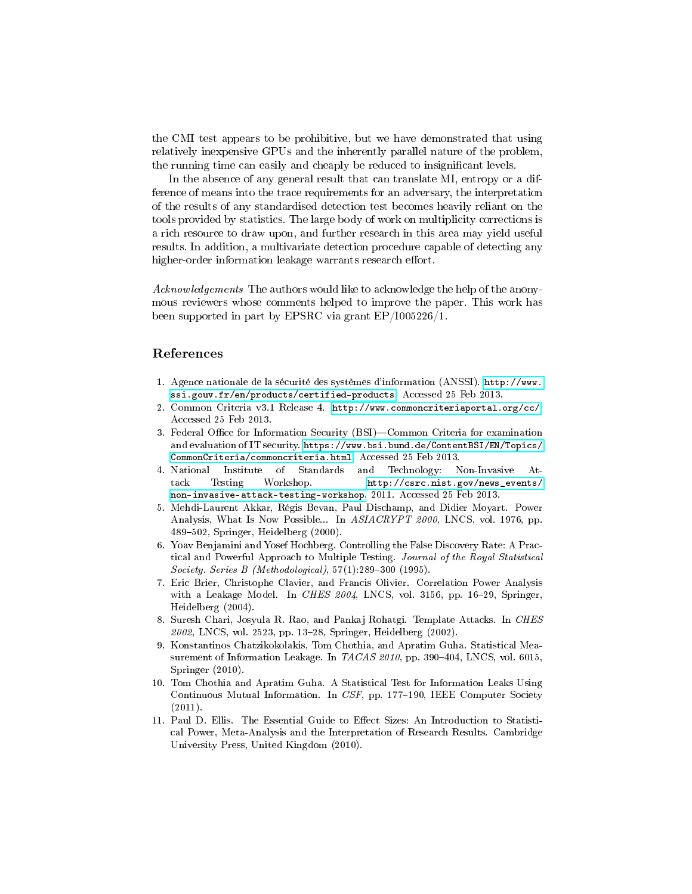the CMI test appears to be prohibitive, but we have demonstrated that using relatively inexpensive GPUs and the inherently parallel nature of the problem, the running time can easily and cheaply be reduced to insignificant levels.

In the absence of any general result that can translate MI, entropy or a difference of means into the trace requirements for an adversary, the interpretation of the results of any standardised detection test becomes heavily reliant on the tools provided by statistics. The large body of work on multiplicity corrections is a rich resource to draw upon, and further research in this area may yield useful results. In addition, a multivariate detection procedure capable of detecting any higher-order information leakage warrants research effort.

Acknowledgements The authors would like to acknowledge the help of the anonymous reviewers whose comments helped to improve the paper. This work has been supported in part by EPSRC via grant EP/I005226/1.

## References

- <span id="page-18-2"></span>1. Agence nationale de la sécurité des systèmes d'information (ANSSI). [http://www.](http://www.ssi.gouv.fr/en/products/certified-products) [ssi.gouv.fr/en/products/certified-products.](http://www.ssi.gouv.fr/en/products/certified-products) Accessed 25 Feb 2013.
- <span id="page-18-1"></span>2. Common Criteria v3.1 Release 4. [http://www.commoncriteriaportal.org/cc/.](http://www.commoncriteriaportal.org/cc/) Accessed 25 Feb 2013.
- <span id="page-18-3"></span>3. Federal Office for Information Security (BSI)—Common Criteria for examination and evaluation of IT security. [https://www.bsi.bund.de/ContentBSI/EN/Topics/](https://www.bsi.bund.de/ContentBSI/EN/Topics/CommonCriteria/commoncriteria.html) [CommonCriteria/commoncriteria.html.](https://www.bsi.bund.de/ContentBSI/EN/Topics/CommonCriteria/commoncriteria.html) Accessed 25 Feb 2013.
- <span id="page-18-0"></span>4. National Institute of Standards and Technology: Non-Invasive Attack Testing Workshop. [http://csrc.nist.gov/news\\_events/](http://csrc.nist.gov/news_events/non-invasive-attack-testing-workshop) [non-invasive-attack-testing-workshop,](http://csrc.nist.gov/news_events/non-invasive-attack-testing-workshop) 2011. Accessed 25 Feb 2013.
- <span id="page-18-10"></span>5. Mehdi-Laurent Akkar, Régis Bevan, Paul Dischamp, and Didier Moyart. Power Analysis, What Is Now Possible... In ASIACRYPT 2000, LNCS, vol. 1976, pp. 489-502, Springer, Heidelberg (2000).
- <span id="page-18-9"></span>6. Yoav Benjamini and Yosef Hochberg. Controlling the False Discovery Rate: A Practical and Powerful Approach to Multiple Testing. Journal of the Royal Statistical Society. Series B (Methodological),  $57(1):289-300$  (1995).
- <span id="page-18-6"></span>7. Eric Brier, Christophe Clavier, and Francis Olivier. Correlation Power Analysis with a Leakage Model. In  $CHES$  2004, LNCS, vol. 3156, pp. 16-29, Springer, Heidelberg (2004).
- <span id="page-18-7"></span>8. Suresh Chari, Josyula R. Rao, and Pankaj Rohatgi. Template Attacks. In CHES 2002, LNCS, vol. 2523, pp. 13-28, Springer, Heidelberg (2002).
- <span id="page-18-5"></span>9. Konstantinos Chatzikokolakis, Tom Chothia, and Apratim Guha. Statistical Measurement of Information Leakage. In TACAS 2010, pp. 390-404, LNCS, vol. 6015, Springer (2010).
- <span id="page-18-4"></span>10. Tom Chothia and Apratim Guha. A Statistical Test for Information Leaks Using Continuous Mutual Information. In CSF, pp. 177-190, IEEE Computer Society (2011).
- <span id="page-18-8"></span>11. Paul D. Ellis. The Essential Guide to Effect Sizes: An Introduction to Statistical Power, Meta-Analysis and the Interpretation of Research Results. Cambridge University Press, United Kingdom (2010).